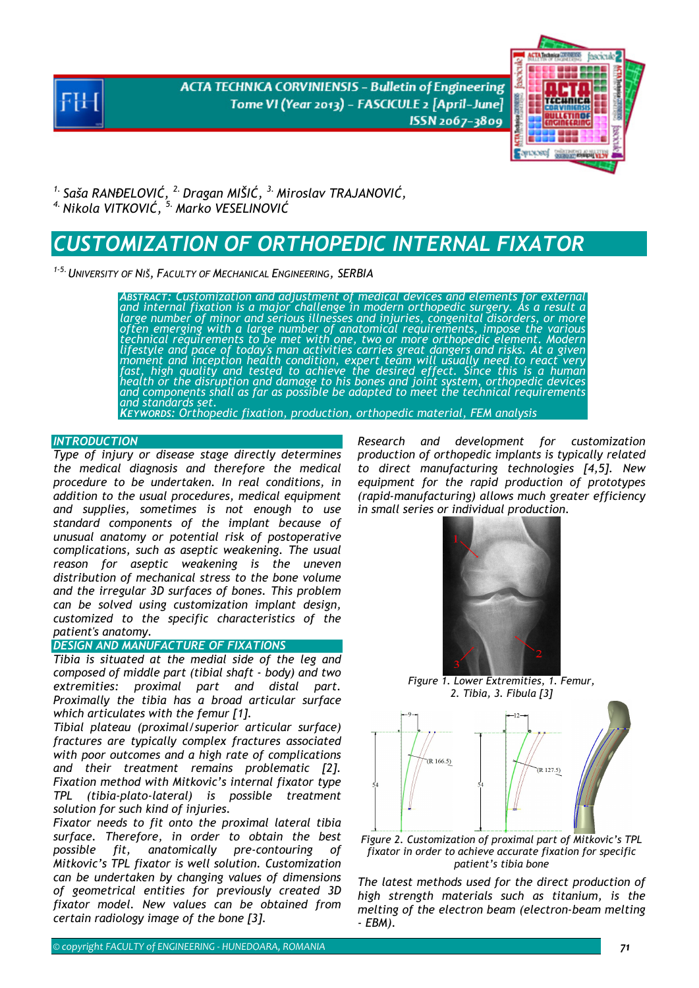**ACTA TECHNICA CORVINIENSIS - Bulletin of Engineering** Tome VI (Year 2013) - FASCICULE 2 [April-June] ISSN 2067-3809



*1. Saša RANĐELOVIĆ, 2. Dragan MIŠIĆ, 3. Miroslav TRAJANOVIĆ, 4. Nikola VITKOVIĆ, 5. Marko VESELINOVI<sup>Ć</sup>* 

# *CUSTOMIZATION OF ORTHOPEDIC INTERNAL FIXATOR*

*1-5.UNIVERSITY OF NIŠ, FACULTY OF MECHANICAL ENGINEERING, SERBIA*

*ABSTRACT: Customization and adjustment of medical devices and elements for external and internal fixation is a major challenge in modern orthopedic surgery. As a result a large number of minor and serious illnesses and injuries, congenital disorders, or more*<br>often emerging with a large number of anatomical requirements, impose the various *technical requirements to be met with one, two or more orthopedic element. Modern lifestyle and pace of today's man activities carries great dangers and risks. At a given moment and inception health condition, expert team will usually need to react very fast, high quality and tested to achieve the desired effect. Since this is a human health or the disruption and damage to his bones and joint system, orthopedic devices*<br>and components shall as far as possible be adapted to meet the technical requirements<br>and standards set. *KEYWORDS: Orthopedic fixation, production, orthopedic material, FEM analysis* 

#### **INTRODUCTION**

*Type of injury or disease stage directly determines the medical diagnosis and therefore the medical procedure to be undertaken. In real conditions, in addition to the usual procedures, medical equipment and supplies, sometimes is not enough to use standard components of the implant because of unusual anatomy or potential risk of postoperative complications, such as aseptic weakening. The usual reason for aseptic weakening is the uneven distribution of mechanical stress to the bone volume and the irregular 3D surfaces of bones. This problem can be solved using customization implant design, customized to the specific characteristics of the patient's anatomy.* 

# *DESIGN AND MANUFACTURE OF FIXATIONS*

*Tibia is situated at the medial side of the leg and composed of middle part (tibial shaft - body) and two extremities: proximal part and distal part. Proximally the tibia has a broad articular surface which articulates with the femur [1].* 

*Tibial plateau (proximal/superior articular surface) fractures are typically complex fractures associated with poor outcomes and a high rate of complications and their treatment remains problematic [2]. Fixation method with Mitkovic's internal fixator type TPL (tibia-plato-lateral) is possible treatment solution for such kind of injuries.* 

*Fixator needs to fit onto the proximal lateral tibia surface. Therefore, in order to obtain the best possible fit, anatomically pre-contouring of Mitkovic's TPL fixator is well solution. Customization can be undertaken by changing values of dimensions of geometrical entities for previously created 3D fixator model. New values can be obtained from certain radiology image of the bone [3].* 

*Research and development for customization production of orthopedic implants is typically related to direct manufacturing technologies [4,5]. New equipment for the rapid production of prototypes (rapid-manufacturing) allows much greater efficiency in small series or individual production.* 



*Figure 1. Lower Extremities, 1. Femur, 2. Tibia, 3. Fibula [3]* 





*The latest methods used for the direct production of high strength materials such as titanium, is the melting of the electron beam (electron-beam melting - EBM).*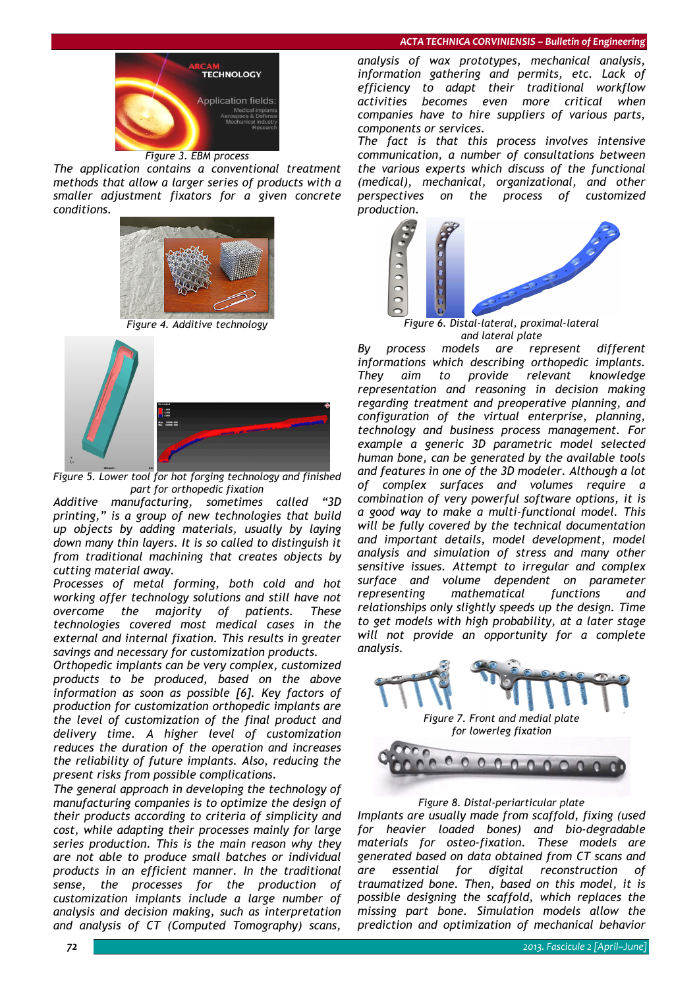

*The application contains a conventional treatment methods that allow a larger series of products with a smaller adjustment fixators for a given concrete conditions.* 



*Figure 4. Additive technology* 



*Figure 5. Lower tool for hot forging technology and finished part for orthopedic fixation* 

*Additive manufacturing, sometimes called "3D printing," is a group of new technologies that build up objects by adding materials, usually by laying down many thin layers. It is so called to distinguish it from traditional machining that creates objects by cutting material away.* 

*Processes of metal forming, both cold and hot working offer technology solutions and still have not overcome the majority of patients. These technologies covered most medical cases in the external and internal fixation. This results in greater savings and necessary for customization products.* 

*Orthopedic implants can be very complex, customized products to be produced, based on the above information as soon as possible [6]. Key factors of production for customization orthopedic implants are the level of customization of the final product and delivery time. A higher level of customization reduces the duration of the operation and increases the reliability of future implants. Also, reducing the present risks from possible complications.* 

*The general approach in developing the technology of manufacturing companies is to optimize the design of their products according to criteria of simplicity and cost, while adapting their processes mainly for large series production. This is the main reason why they are not able to produce small batches or individual products in an efficient manner. In the traditional sense, the processes for the production of customization implants include a large number of analysis and decision making, such as interpretation and analysis of CT (Computed Tomography) scans,* 

*analysis of wax prototypes, mechanical analysis, information gathering and permits, etc. Lack of efficiency to adapt their traditional workflow activities becomes even more critical when companies have to hire suppliers of various parts, components or services.* 

*The fact is that this process involves intensive communication, a number of consultations between the various experts which discuss of the functional (medical), mechanical, organizational, and other perspectives on the process of customized production.* 



 *Figure 6. Distal-lateral, proximal-lateral and lateral plate* 

*By process models are represent different informations which describing orthopedic implants. They aim to provide relevant knowledge representation and reasoning in decision making regarding treatment and preoperative planning, and configuration of the virtual enterprise, planning, technology and business process management. For example a generic 3D parametric model selected human bone, can be generated by the available tools and features in one of the 3D modeler. Although a lot of complex surfaces and volumes require a combination of very powerful software options, it is a good way to make a multi-functional model. This will be fully covered by the technical documentation and important details, model development, model analysis and simulation of stress and many other sensitive issues. Attempt to irregular and complex surface and volume dependent on parameter representing mathematical functions and relationships only slightly speeds up the design. Time to get models with high probability, at a later stage will not provide an opportunity for a complete analysis.* 



# *Figure 8. Distal-periarticular plate Implants are usually made from scaffold, fixing (used for heavier loaded bones) and bio-degradable materials for osteo-fixation. These models are generated based on data obtained from CT scans and are essential for digital reconstruction of traumatized bone. Then, based on this model, it is possible designing the scaffold, which replaces the missing part bone. Simulation models allow the prediction and optimization of mechanical behavior*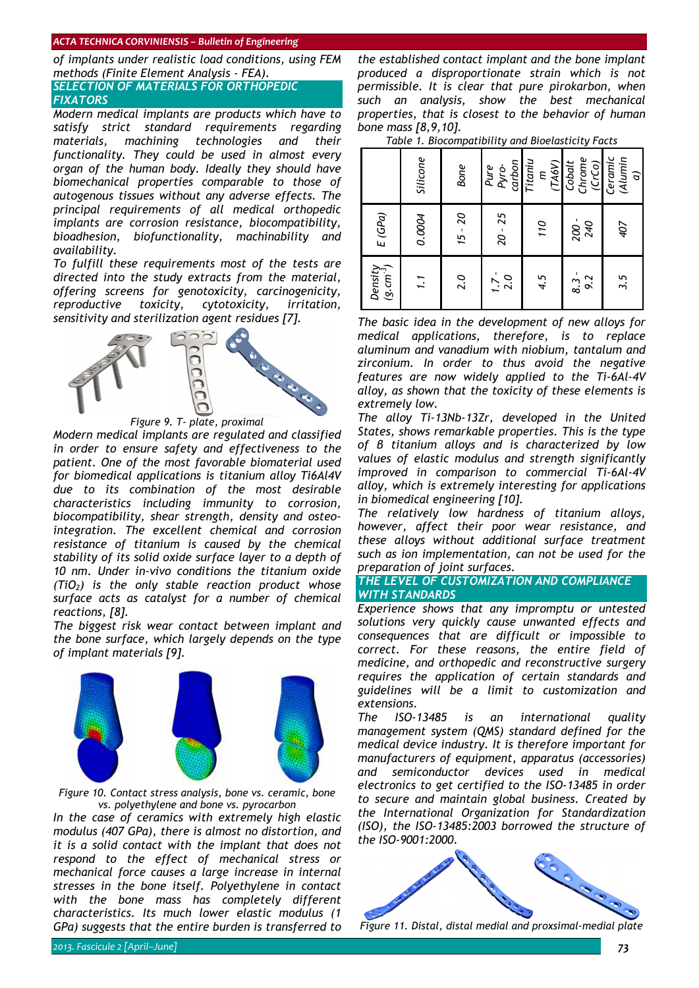#### *ACTA TECHNICA CORVINIENSIS – Bulletin of Engineering*

*of implants under realistic load conditions, using FEM methods (Finite Element Analysis - FEA).*

# *SELECTION OF MATERIALS FOR ORTHOPEDIC FIXATORS*

*Modern medical implants are products which have to satisfy strict standard requirements regarding materials, machining technologies and their functionality. They could be used in almost every organ of the human body. Ideally they should have biomechanical properties comparable to those of autogenous tissues without any adverse effects. The principal requirements of all medical orthopedic implants are corrosion resistance, biocompatibility, bioadhesion, biofunctionality, machinability and availability.* 

*To fulfill these requirements most of the tests are directed into the study extracts from the material, offering screens for genotoxicity, carcinogenicity, reproductive toxicity, cytotoxicity, irritation, sensitivity and sterilization agent residues [7].* 



 *Figure 9. T- plate, proximal* 

*Modern medical implants are regulated and classified in order to ensure safety and effectiveness to the patient. One of the most favorable biomaterial used for biomedical applications is titanium alloy Ti6Al4V due to its combination of the most desirable characteristics including immunity to corrosion, biocompatibility, shear strength, density and osteointegration. The excellent chemical and corrosion resistance of titanium is caused by the chemical stability of its solid oxide surface layer to a depth of 10 nm. Under in-vivo conditions the titanium oxide (TiO2) is the only stable reaction product whose surface acts as catalyst for a number of chemical reactions, [8].* 

*The biggest risk wear contact between implant and the bone surface, which largely depends on the type of implant materials [9].* 



*Figure 10. Contact stress analysis, bone vs. ceramic, bone vs. polyethylene and bone vs. pyrocarbon* 

*In the case of ceramics with extremely high elastic modulus (407 GPa), there is almost no distortion, and it is a solid contact with the implant that does not respond to the effect of mechanical stress or mechanical force causes a large increase in internal stresses in the bone itself. Polyethylene in contact with the bone mass has completely different characteristics. Its much lower elastic modulus (1 GPa) suggests that the entire burden is transferred to* 

*the established contact implant and the bone implant produced a disproportionate strain which is not permissible. It is clear that pure pirokarbon, when such an analysis, show the best mechanical properties, that is closest to the behavior of human bone mass [8,9,10].* 

*Table 1. Biocompatibility and Bioelasticity Facts* 

|                        | Silicone   | <b>Bone</b> | carbon<br>Pure<br>Pyro- | Titaniu<br>(TA6V)<br>Ε | Chrome<br>Cobalt<br>(CrCo) | Ceramic<br>(Alumin<br>$\widehat{a}$ |
|------------------------|------------|-------------|-------------------------|------------------------|----------------------------|-------------------------------------|
| E(GPa)                 | 0.0004     | $15 - 20$   | $20 - 25$               | 110                    | 200 -<br><b>940</b>        | 407                                 |
| $(9. cm-3)$<br>Density | $\ddot{1}$ | 2.0         | $1.7 -$<br>2.0          | 4.5                    | $8.3 -$<br>9.2             | 3.5                                 |

*The basic idea in the development of new alloys for medical applications, therefore, is to replace aluminum and vanadium with niobium, tantalum and zirconium. In order to thus avoid the negative features are now widely applied to the Ti-6Al-4V alloy, as shown that the toxicity of these elements is extremely low.* 

*The alloy Ti-13Nb-13Zr, developed in the United States, shows remarkable properties. This is the type of β titanium alloys and is characterized by low values of elastic modulus and strength significantly improved in comparison to commercial Ti-6Al-4V alloy, which is extremely interesting for applications in biomedical engineering [10].* 

*The relatively low hardness of titanium alloys, however, affect their poor wear resistance, and these alloys without additional surface treatment such as ion implementation, can not be used for the preparation of joint surfaces.*

# *THE LEVEL OF CUSTOMIZATION AND COMPLIANCE WITH STANDARDS*

*Experience shows that any impromptu or untested solutions very quickly cause unwanted effects and consequences that are difficult or impossible to correct. For these reasons, the entire field of medicine, and orthopedic and reconstructive surgery requires the application of certain standards and guidelines will be a limit to customization and extensions.* 

*The ISO-13485 is an international quality management system (QMS) standard defined for the medical device industry. It is therefore important for manufacturers of equipment, apparatus (accessories) and semiconductor devices used in medical electronics to get certified to the ISO-13485 in order to secure and maintain global business. Created by the International Organization for Standardization (ISO), the ISO-13485:2003 borrowed the structure of the ISO-9001:2000.* 



*Figure 11. Distal, distal medial and proxsimal-medial plate*